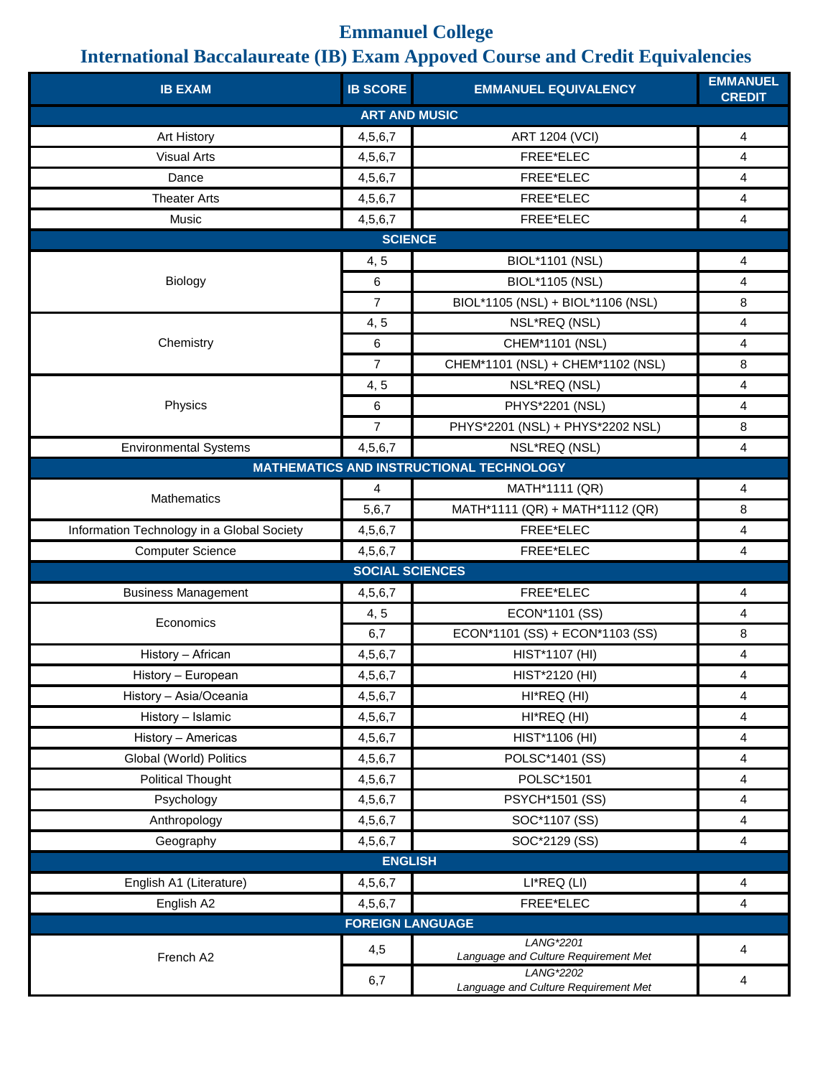## **Emmanuel College**

## **International Baccalaureate (IB) Exam Appoved Course and Credit Equivalencies**

| <b>IB EXAM</b>                             | <b>IB SCORE</b>        | <b>EMMANUEL EQUIVALENCY</b>                       | <b>EMMANUEL</b><br><b>CREDIT</b> |  |  |
|--------------------------------------------|------------------------|---------------------------------------------------|----------------------------------|--|--|
| <b>ART AND MUSIC</b>                       |                        |                                                   |                                  |  |  |
| Art History                                | 4,5,6,7                | <b>ART 1204 (VCI)</b>                             | 4                                |  |  |
| <b>Visual Arts</b>                         | 4,5,6,7                | FREE*ELEC                                         | 4                                |  |  |
| Dance                                      | 4,5,6,7                | FREE*ELEC                                         | 4                                |  |  |
| <b>Theater Arts</b>                        | 4,5,6,7                | FREE*ELEC                                         | 4                                |  |  |
| Music                                      | 4,5,6,7                | FREE*ELEC                                         | $\overline{\mathbf{4}}$          |  |  |
| <b>SCIENCE</b>                             |                        |                                                   |                                  |  |  |
| Biology                                    | 4,5                    | <b>BIOL*1101 (NSL)</b>                            | 4                                |  |  |
|                                            | 6                      | <b>BIOL*1105 (NSL)</b>                            | 4                                |  |  |
|                                            | $\overline{7}$         | BIOL*1105 (NSL) + BIOL*1106 (NSL)                 | 8                                |  |  |
|                                            | 4, 5                   | NSL*REQ (NSL)                                     | 4                                |  |  |
| Chemistry                                  | 6                      | CHEM*1101 (NSL)                                   | 4                                |  |  |
|                                            | $\overline{7}$         | CHEM*1101 (NSL) + CHEM*1102 (NSL)                 | 8                                |  |  |
|                                            | 4, 5                   | NSL*REQ (NSL)                                     | 4                                |  |  |
| Physics                                    | 6                      | PHYS*2201 (NSL)                                   | $\overline{\mathbf{4}}$          |  |  |
|                                            | $\overline{7}$         | PHYS*2201 (NSL) + PHYS*2202 NSL)                  | 8                                |  |  |
| <b>Environmental Systems</b>               | 4,5,6,7                | NSL*REQ (NSL)                                     | 4                                |  |  |
|                                            |                        | <b>MATHEMATICS AND INSTRUCTIONAL TECHNOLOGY</b>   |                                  |  |  |
| <b>Mathematics</b>                         | 4                      | MATH*1111 (QR)                                    | 4                                |  |  |
|                                            | 5,6,7                  | MATH*1111 (QR) + MATH*1112 (QR)                   | 8                                |  |  |
| Information Technology in a Global Society | 4,5,6,7                | FREE*ELEC                                         | 4                                |  |  |
| <b>Computer Science</b>                    | 4,5,6,7                | FREE*ELEC                                         | 4                                |  |  |
|                                            | <b>SOCIAL SCIENCES</b> |                                                   |                                  |  |  |
| <b>Business Management</b>                 | 4,5,6,7                | FREE*ELEC                                         | $\overline{\mathbf{4}}$          |  |  |
| Economics                                  | 4, 5                   | ECON*1101 (SS)                                    | 4                                |  |  |
|                                            | 6,7                    | ECON*1101 (SS) + ECON*1103 (SS)                   | 8                                |  |  |
| History - African                          | 4,5,6,7                | HIST*1107 (HI)                                    | 4                                |  |  |
| History - European                         | 4,5,6,7                | HIST*2120 (HI)                                    | 4                                |  |  |
| History - Asia/Oceania                     | 4,5,6,7                | HI*REQ (HI)                                       | 4                                |  |  |
| History - Islamic                          | 4,5,6,7                | HI*REQ (HI)                                       | 4                                |  |  |
| History - Americas                         | 4,5,6,7                | HIST*1106 (HI)                                    | 4                                |  |  |
| Global (World) Politics                    | 4,5,6,7                | POLSC*1401 (SS)                                   | 4                                |  |  |
| <b>Political Thought</b>                   | 4,5,6,7                | POLSC*1501                                        | 4                                |  |  |
| Psychology                                 | 4,5,6,7                | <b>PSYCH*1501 (SS)</b>                            | 4                                |  |  |
| Anthropology                               | 4,5,6,7                | SOC*1107 (SS)                                     | 4                                |  |  |
| Geography                                  | 4,5,6,7                | SOC*2129 (SS)                                     | 4                                |  |  |
| <b>ENGLISH</b>                             |                        |                                                   |                                  |  |  |
| English A1 (Literature)                    | 4,5,6,7                | LI*REQ (LI)                                       | $\overline{\mathbf{4}}$          |  |  |
| English A2                                 | 4,5,6,7                | FREE*ELEC                                         | 4                                |  |  |
| <b>FOREIGN LANGUAGE</b>                    |                        |                                                   |                                  |  |  |
| French A2                                  | 4,5                    | LANG*2201                                         | 4                                |  |  |
|                                            |                        | Language and Culture Requirement Met<br>LANG*2202 |                                  |  |  |
|                                            | 6,7                    | Language and Culture Requirement Met              | 4                                |  |  |